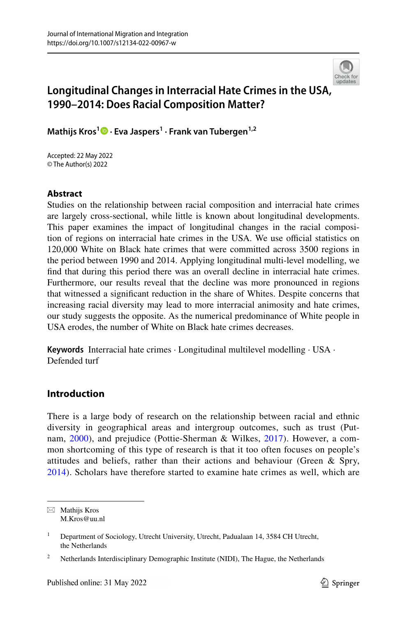

# **Longitudinal Changes in Interracial Hate Crimes in the USA[,](http://crossmark.crossref.org/dialog/?doi=10.1007/s12134-022-00967-w&domain=pdf)  1990–2014: Does Racial Composition Matter?**

**Mathijs Kros<sup>1</sup>  [·](http://orcid.org/0000-0002-0776-6151) Eva Jaspers1 · Frank van Tubergen1,2**

Accepted: 22 May 2022 © The Author(s) 2022

# **Abstract**

Studies on the relationship between racial composition and interracial hate crimes are largely cross-sectional, while little is known about longitudinal developments. This paper examines the impact of longitudinal changes in the racial composition of regions on interracial hate crimes in the USA. We use official statistics on 120,000 White on Black hate crimes that were committed across 3500 regions in the period between 1990 and 2014. Applying longitudinal multi-level modelling, we fnd that during this period there was an overall decline in interracial hate crimes. Furthermore, our results reveal that the decline was more pronounced in regions that witnessed a signifcant reduction in the share of Whites. Despite concerns that increasing racial diversity may lead to more interracial animosity and hate crimes, our study suggests the opposite. As the numerical predominance of White people in USA erodes, the number of White on Black hate crimes decreases.

**Keywords** Interracial hate crimes · Longitudinal multilevel modelling · USA · Defended turf

# **Introduction**

There is a large body of research on the relationship between racial and ethnic diversity in geographical areas and intergroup outcomes, such as trust (Putnam, [2000\)](#page-18-0), and prejudice (Pottie-Sherman & Wilkes, [2017\)](#page-18-1). However, a common shortcoming of this type of research is that it too often focuses on people's attitudes and beliefs, rather than their actions and behaviour (Green & Spry, [2014\)](#page-17-0). Scholars have therefore started to examine hate crimes as well, which are

 $\boxtimes$  Mathijs Kros M.Kros@uu.nl

<sup>&</sup>lt;sup>1</sup> Department of Sociology, Utrecht University, Utrecht, Padualaan 14, 3584 CH Utrecht, the Netherlands

<sup>2</sup> Netherlands Interdisciplinary Demographic Institute (NIDI), The Hague, the Netherlands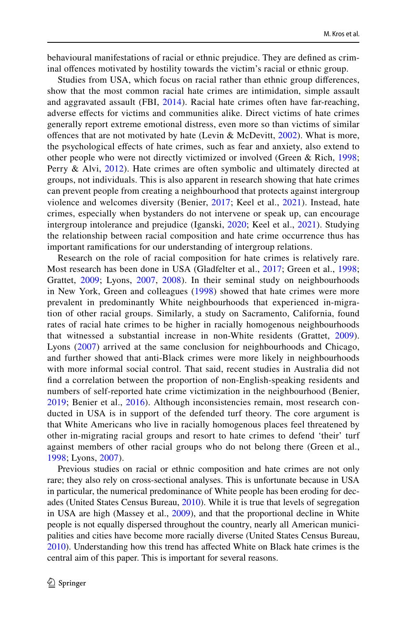behavioural manifestations of racial or ethnic prejudice. They are defned as criminal ofences motivated by hostility towards the victim's racial or ethnic group.

Studies from USA, which focus on racial rather than ethnic group diferences, show that the most common racial hate crimes are intimidation, simple assault and aggravated assault (FBI, [2014](#page-16-0)). Racial hate crimes often have far-reaching, adverse efects for victims and communities alike. Direct victims of hate crimes generally report extreme emotional distress, even more so than victims of similar offences that are not motivated by hate (Levin & McDevitt,  $2002$ ). What is more, the psychological efects of hate crimes, such as fear and anxiety, also extend to other people who were not directly victimized or involved (Green & Rich, [1998;](#page-17-2) Perry & Alvi, [2012\)](#page-18-2). Hate crimes are often symbolic and ultimately directed at groups, not individuals. This is also apparent in research showing that hate crimes can prevent people from creating a neighbourhood that protects against intergroup violence and welcomes diversity (Benier, [2017](#page-16-1); Keel et al., [2021\)](#page-17-3). Instead, hate crimes, especially when bystanders do not intervene or speak up, can encourage intergroup intolerance and prejudice (Iganski, [2020](#page-17-4); Keel et al., [2021](#page-17-3)). Studying the relationship between racial composition and hate crime occurrence thus has important ramifcations for our understanding of intergroup relations.

Research on the role of racial composition for hate crimes is relatively rare. Most research has been done in USA (Gladfelter et al., [2017](#page-17-5); Green et al., [1998;](#page-17-6) Grattet, [2009](#page-17-7); Lyons, [2007](#page-17-8), [2008\)](#page-17-9). In their seminal study on neighbourhoods in New York, Green and colleagues ([1998\)](#page-17-6) showed that hate crimes were more prevalent in predominantly White neighbourhoods that experienced in-migration of other racial groups. Similarly, a study on Sacramento, California, found rates of racial hate crimes to be higher in racially homogenous neighbourhoods that witnessed a substantial increase in non-White residents (Grattet, [2009](#page-17-7)). Lyons ([2007](#page-17-8)) arrived at the same conclusion for neighbourhoods and Chicago, and further showed that anti-Black crimes were more likely in neighbourhoods with more informal social control. That said, recent studies in Australia did not fnd a correlation between the proportion of non-English-speaking residents and numbers of self-reported hate crime victimization in the neighbourhood (Benier, [2019;](#page-16-2) Benier et al., [2016](#page-16-3)). Although inconsistencies remain, most research conducted in USA is in support of the defended turf theory. The core argument is that White Americans who live in racially homogenous places feel threatened by other in-migrating racial groups and resort to hate crimes to defend 'their' turf against members of other racial groups who do not belong there (Green et al., [1998;](#page-17-6) Lyons, [2007](#page-17-8)).

Previous studies on racial or ethnic composition and hate crimes are not only rare; they also rely on cross-sectional analyses. This is unfortunate because in USA in particular, the numerical predominance of White people has been eroding for decades (United States Census Bureau, [2010\)](#page-18-3). While it is true that levels of segregation in USA are high (Massey et al., [2009\)](#page-17-10), and that the proportional decline in White people is not equally dispersed throughout the country, nearly all American municipalities and cities have become more racially diverse (United States Census Bureau, [2010](#page-18-3)). Understanding how this trend has afected White on Black hate crimes is the central aim of this paper. This is important for several reasons.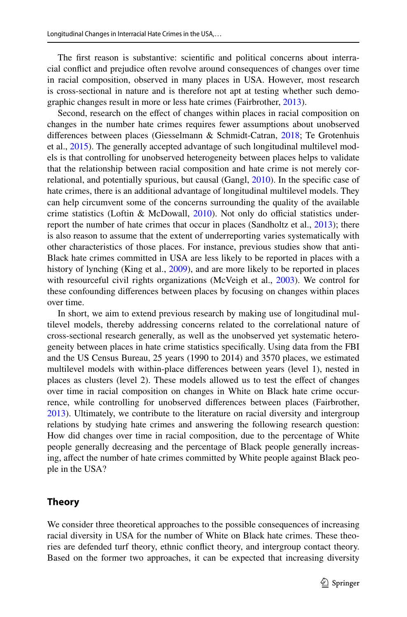The first reason is substantive: scientific and political concerns about interracial confict and prejudice often revolve around consequences of changes over time in racial composition, observed in many places in USA. However, most research is cross-sectional in nature and is therefore not apt at testing whether such demographic changes result in more or less hate crimes (Fairbrother, [2013\)](#page-16-4).

Second, research on the effect of changes within places in racial composition on changes in the number hate crimes requires fewer assumptions about unobserved diferences between places (Giesselmann & Schmidt-Catran, [2018;](#page-16-5) Te Grotenhuis et al., [2015\)](#page-18-4). The generally accepted advantage of such longitudinal multilevel models is that controlling for unobserved heterogeneity between places helps to validate that the relationship between racial composition and hate crime is not merely correlational, and potentially spurious, but causal (Gangl, [2010](#page-16-6)). In the specifc case of hate crimes, there is an additional advantage of longitudinal multilevel models. They can help circumvent some of the concerns surrounding the quality of the available crime statistics (Loftin & McDowall,  $2010$ ). Not only do official statistics underreport the number of hate crimes that occur in places (Sandholtz et al., [2013](#page-18-5)); there is also reason to assume that the extent of underreporting varies systematically with other characteristics of those places. For instance, previous studies show that anti-Black hate crimes committed in USA are less likely to be reported in places with a history of lynching (King et al., [2009](#page-17-12)), and are more likely to be reported in places with resourceful civil rights organizations (McVeigh et al., [2003](#page-17-13)). We control for these confounding diferences between places by focusing on changes within places over time.

In short, we aim to extend previous research by making use of longitudinal multilevel models, thereby addressing concerns related to the correlational nature of cross-sectional research generally, as well as the unobserved yet systematic heterogeneity between places in hate crime statistics specifcally. Using data from the FBI and the US Census Bureau, 25 years (1990 to 2014) and 3570 places, we estimated multilevel models with within-place diferences between years (level 1), nested in places as clusters (level 2). These models allowed us to test the effect of changes over time in racial composition on changes in White on Black hate crime occurrence, while controlling for unobserved diferences between places (Fairbrother, [2013](#page-16-4)). Ultimately, we contribute to the literature on racial diversity and intergroup relations by studying hate crimes and answering the following research question: How did changes over time in racial composition, due to the percentage of White people generally decreasing and the percentage of Black people generally increasing, afect the number of hate crimes committed by White people against Black people in the USA?

# **Theory**

We consider three theoretical approaches to the possible consequences of increasing racial diversity in USA for the number of White on Black hate crimes. These theories are defended turf theory, ethnic confict theory, and intergroup contact theory. Based on the former two approaches, it can be expected that increasing diversity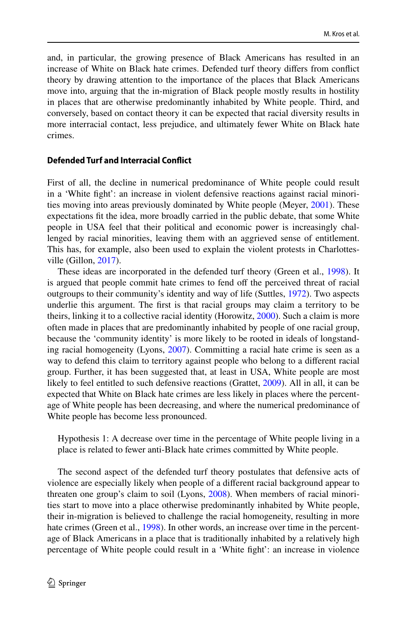and, in particular, the growing presence of Black Americans has resulted in an increase of White on Black hate crimes. Defended turf theory difers from confict theory by drawing attention to the importance of the places that Black Americans move into, arguing that the in-migration of Black people mostly results in hostility in places that are otherwise predominantly inhabited by White people. Third, and conversely, based on contact theory it can be expected that racial diversity results in more interracial contact, less prejudice, and ultimately fewer White on Black hate crimes.

### **Defended Turf and Interracial Confict**

First of all, the decline in numerical predominance of White people could result in a 'White fght': an increase in violent defensive reactions against racial minorities moving into areas previously dominated by White people (Meyer, [2001\)](#page-17-14). These expectations ft the idea, more broadly carried in the public debate, that some White people in USA feel that their political and economic power is increasingly challenged by racial minorities, leaving them with an aggrieved sense of entitlement. This has, for example, also been used to explain the violent protests in Charlottesville (Gillon, [2017](#page-17-15)).

These ideas are incorporated in the defended turf theory (Green et al., [1998](#page-17-6)). It is argued that people commit hate crimes to fend off the perceived threat of racial outgroups to their community's identity and way of life (Suttles, [1972\)](#page-18-6). Two aspects underlie this argument. The frst is that racial groups may claim a territory to be theirs, linking it to a collective racial identity (Horowitz, [2000](#page-17-16)). Such a claim is more often made in places that are predominantly inhabited by people of one racial group, because the 'community identity' is more likely to be rooted in ideals of longstanding racial homogeneity (Lyons, [2007](#page-17-8)). Committing a racial hate crime is seen as a way to defend this claim to territory against people who belong to a diferent racial group. Further, it has been suggested that, at least in USA, White people are most likely to feel entitled to such defensive reactions (Grattet, [2009\)](#page-17-7). All in all, it can be expected that White on Black hate crimes are less likely in places where the percentage of White people has been decreasing, and where the numerical predominance of White people has become less pronounced.

Hypothesis 1: A decrease over time in the percentage of White people living in a place is related to fewer anti-Black hate crimes committed by White people.

The second aspect of the defended turf theory postulates that defensive acts of violence are especially likely when people of a diferent racial background appear to threaten one group's claim to soil (Lyons, [2008](#page-17-9)). When members of racial minorities start to move into a place otherwise predominantly inhabited by White people, their in-migration is believed to challenge the racial homogeneity, resulting in more hate crimes (Green et al., [1998](#page-17-6)). In other words, an increase over time in the percentage of Black Americans in a place that is traditionally inhabited by a relatively high percentage of White people could result in a 'White fght': an increase in violence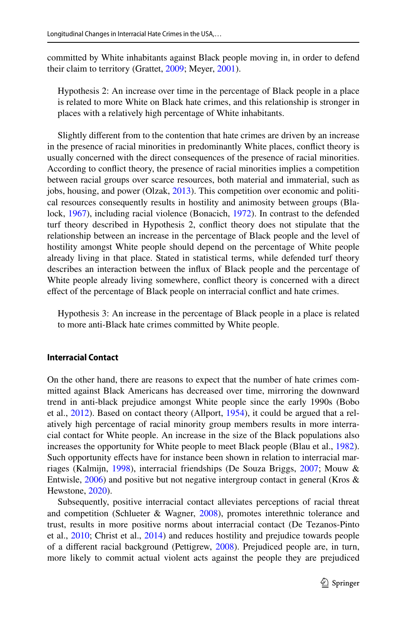committed by White inhabitants against Black people moving in, in order to defend their claim to territory (Grattet, [2009;](#page-17-7) Meyer, [2001](#page-17-14)).

Hypothesis 2: An increase over time in the percentage of Black people in a place is related to more White on Black hate crimes, and this relationship is stronger in places with a relatively high percentage of White inhabitants.

Slightly diferent from to the contention that hate crimes are driven by an increase in the presence of racial minorities in predominantly White places, confict theory is usually concerned with the direct consequences of the presence of racial minorities. According to confict theory, the presence of racial minorities implies a competition between racial groups over scarce resources, both material and immaterial, such as jobs, housing, and power (Olzak, [2013](#page-18-7)). This competition over economic and political resources consequently results in hostility and animosity between groups (Blalock, [1967\)](#page-16-7), including racial violence (Bonacich, [1972](#page-16-8)). In contrast to the defended turf theory described in Hypothesis 2, confict theory does not stipulate that the relationship between an increase in the percentage of Black people and the level of hostility amongst White people should depend on the percentage of White people already living in that place. Stated in statistical terms, while defended turf theory describes an interaction between the infux of Black people and the percentage of White people already living somewhere, confict theory is concerned with a direct efect of the percentage of Black people on interracial confict and hate crimes.

Hypothesis 3: An increase in the percentage of Black people in a place is related to more anti-Black hate crimes committed by White people.

### **Interracial Contact**

On the other hand, there are reasons to expect that the number of hate crimes committed against Black Americans has decreased over time, mirroring the downward trend in anti-black prejudice amongst White people since the early 1990s (Bobo et al., [2012](#page-16-9)). Based on contact theory (Allport, [1954](#page-16-10)), it could be argued that a relatively high percentage of racial minority group members results in more interracial contact for White people. An increase in the size of the Black populations also increases the opportunity for White people to meet Black people (Blau et al., [1982\)](#page-16-11). Such opportunity effects have for instance been shown in relation to interracial marriages (Kalmijn, [1998\)](#page-17-17), interracial friendships (De Souza Briggs, [2007;](#page-16-12) Mouw & Entwisle,  $2006$ ) and positive but not negative intergroup contact in general (Kros  $\&$ Hewstone, [2020](#page-17-19)).

Subsequently, positive interracial contact alleviates perceptions of racial threat and competition (Schlueter & Wagner, [2008](#page-18-8)), promotes interethnic tolerance and trust, results in more positive norms about interracial contact (De Tezanos-Pinto et al., [2010;](#page-16-13) Christ et al., [2014\)](#page-16-14) and reduces hostility and prejudice towards people of a diferent racial background (Pettigrew, [2008\)](#page-18-9). Prejudiced people are, in turn, more likely to commit actual violent acts against the people they are prejudiced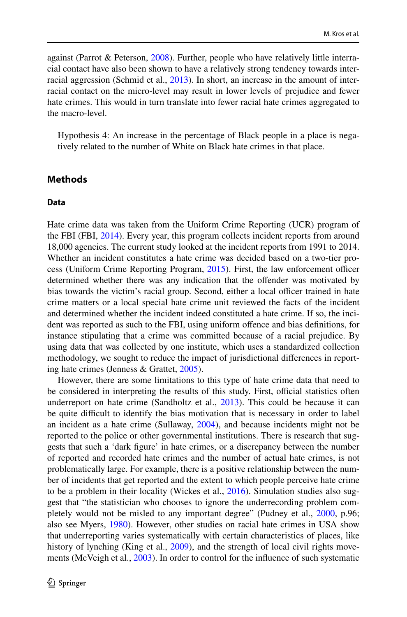against (Parrot & Peterson, [2008\)](#page-18-10). Further, people who have relatively little interracial contact have also been shown to have a relatively strong tendency towards interracial aggression (Schmid et al., [2013\)](#page-18-11). In short, an increase in the amount of interracial contact on the micro-level may result in lower levels of prejudice and fewer hate crimes. This would in turn translate into fewer racial hate crimes aggregated to the macro-level.

Hypothesis 4: An increase in the percentage of Black people in a place is negatively related to the number of White on Black hate crimes in that place.

# **Methods**

#### **Data**

Hate crime data was taken from the Uniform Crime Reporting (UCR) program of the FBI (FBI, [2014](#page-16-0)). Every year, this program collects incident reports from around 18,000 agencies. The current study looked at the incident reports from 1991 to 2014. Whether an incident constitutes a hate crime was decided based on a two-tier process (Uniform Crime Reporting Program,  $2015$ ). First, the law enforcement officer determined whether there was any indication that the ofender was motivated by bias towards the victim's racial group. Second, either a local officer trained in hate crime matters or a local special hate crime unit reviewed the facts of the incident and determined whether the incident indeed constituted a hate crime. If so, the incident was reported as such to the FBI, using uniform ofence and bias defnitions, for instance stipulating that a crime was committed because of a racial prejudice. By using data that was collected by one institute, which uses a standardized collection methodology, we sought to reduce the impact of jurisdictional diferences in reporting hate crimes (Jenness & Grattet, [2005\)](#page-17-20).

However, there are some limitations to this type of hate crime data that need to be considered in interpreting the results of this study. First, official statistics often underreport on hate crime (Sandholtz et al., [2013](#page-18-5)). This could be because it can be quite difcult to identify the bias motivation that is necessary in order to label an incident as a hate crime (Sullaway, [2004\)](#page-18-13), and because incidents might not be reported to the police or other governmental institutions. There is research that suggests that such a 'dark fgure' in hate crimes, or a discrepancy between the number of reported and recorded hate crimes and the number of actual hate crimes, is not problematically large. For example, there is a positive relationship between the number of incidents that get reported and the extent to which people perceive hate crime to be a problem in their locality (Wickes et al., [2016](#page-19-0)). Simulation studies also suggest that "the statistician who chooses to ignore the underrecording problem com-pletely would not be misled to any important degree" (Pudney et al., [2000,](#page-18-14) p.96; also see Myers, [1980\)](#page-18-15). However, other studies on racial hate crimes in USA show that underreporting varies systematically with certain characteristics of places, like history of lynching (King et al., [2009\)](#page-17-12), and the strength of local civil rights movements (McVeigh et al., [2003](#page-17-13)). In order to control for the infuence of such systematic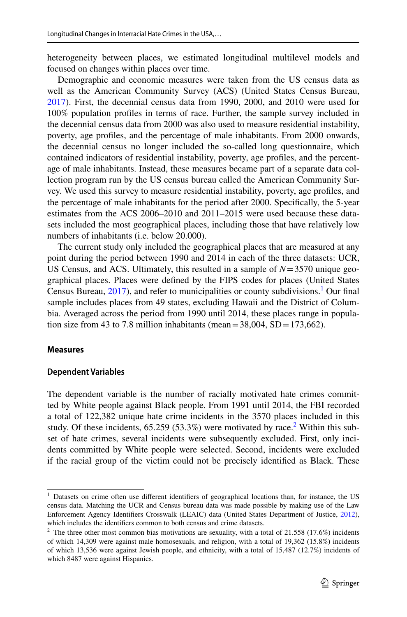heterogeneity between places, we estimated longitudinal multilevel models and focused on changes within places over time.

Demographic and economic measures were taken from the US census data as well as the American Community Survey (ACS) (United States Census Bureau, [2017](#page-18-16)). First, the decennial census data from 1990, 2000, and 2010 were used for 100% population profles in terms of race. Further, the sample survey included in the decennial census data from 2000 was also used to measure residential instability, poverty, age profles, and the percentage of male inhabitants. From 2000 onwards, the decennial census no longer included the so-called long questionnaire, which contained indicators of residential instability, poverty, age profles, and the percentage of male inhabitants. Instead, these measures became part of a separate data collection program run by the US census bureau called the American Community Survey. We used this survey to measure residential instability, poverty, age profles, and the percentage of male inhabitants for the period after 2000. Specifcally, the 5-year estimates from the ACS 2006–2010 and 2011–2015 were used because these datasets included the most geographical places, including those that have relatively low numbers of inhabitants (i.e. below 20.000).

The current study only included the geographical places that are measured at any point during the period between 1990 and 2014 in each of the three datasets: UCR, US Census, and ACS. Ultimately, this resulted in a sample of *N*=3570 unique geographical places. Places were defned by the FIPS codes for places (United States Census Bureau, [2017\)](#page-18-16), and refer to municipalities or county subdivisions.<sup>[1](#page-6-0)</sup> Our final sample includes places from 49 states, excluding Hawaii and the District of Columbia. Averaged across the period from 1990 until 2014, these places range in population size from 43 to 7.8 million inhabitants (mean  $=$  38,004, SD  $=$  173,662).

#### **Measures**

#### **Dependent Variables**

The dependent variable is the number of racially motivated hate crimes committed by White people against Black people. From 1991 until 2014, the FBI recorded a total of 122,382 unique hate crime incidents in the 3570 places included in this study. Of these incidents,  $65.259(53.3%)$  $65.259(53.3%)$  $65.259(53.3%)$  were motivated by race.<sup>2</sup> Within this subset of hate crimes, several incidents were subsequently excluded. First, only incidents committed by White people were selected. Second, incidents were excluded if the racial group of the victim could not be precisely identifed as Black. These

<span id="page-6-0"></span><sup>&</sup>lt;sup>1</sup> Datasets on crime often use different identifiers of geographical locations than, for instance, the US census data. Matching the UCR and Census bureau data was made possible by making use of the Law Enforcement Agency Identifers Crosswalk (LEAIC) data (United States Department of Justice, [2012\)](#page-18-17), which includes the identifers common to both census and crime datasets.

<span id="page-6-1"></span><sup>&</sup>lt;sup>2</sup> The three other most common bias motivations are sexuality, with a total of 21.558 (17.6%) incidents of which 14,309 were against male homosexuals, and religion, with a total of 19,362 (15.8%) incidents of which 13,536 were against Jewish people, and ethnicity, with a total of 15,487 (12.7%) incidents of which 8487 were against Hispanics.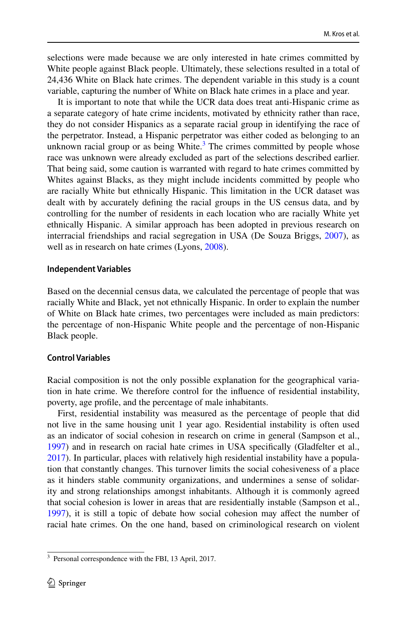selections were made because we are only interested in hate crimes committed by White people against Black people. Ultimately, these selections resulted in a total of 24,436 White on Black hate crimes. The dependent variable in this study is a count variable, capturing the number of White on Black hate crimes in a place and year.

It is important to note that while the UCR data does treat anti-Hispanic crime as a separate category of hate crime incidents, motivated by ethnicity rather than race, they do not consider Hispanics as a separate racial group in identifying the race of the perpetrator. Instead, a Hispanic perpetrator was either coded as belonging to an unknown racial group or as being White. $3$  The crimes committed by people whose race was unknown were already excluded as part of the selections described earlier. That being said, some caution is warranted with regard to hate crimes committed by Whites against Blacks, as they might include incidents committed by people who are racially White but ethnically Hispanic. This limitation in the UCR dataset was dealt with by accurately defning the racial groups in the US census data, and by controlling for the number of residents in each location who are racially White yet ethnically Hispanic. A similar approach has been adopted in previous research on interracial friendships and racial segregation in USA (De Souza Briggs, [2007\)](#page-16-12), as well as in research on hate crimes (Lyons, [2008](#page-17-9)).

#### **Independent Variables**

Based on the decennial census data, we calculated the percentage of people that was racially White and Black, yet not ethnically Hispanic. In order to explain the number of White on Black hate crimes, two percentages were included as main predictors: the percentage of non-Hispanic White people and the percentage of non-Hispanic Black people.

### **Control Variables**

Racial composition is not the only possible explanation for the geographical variation in hate crime. We therefore control for the infuence of residential instability, poverty, age profle, and the percentage of male inhabitants.

First, residential instability was measured as the percentage of people that did not live in the same housing unit 1 year ago. Residential instability is often used as an indicator of social cohesion in research on crime in general (Sampson et al., [1997](#page-18-18)) and in research on racial hate crimes in USA specifcally (Gladfelter et al., [2017](#page-17-5)). In particular, places with relatively high residential instability have a population that constantly changes. This turnover limits the social cohesiveness of a place as it hinders stable community organizations, and undermines a sense of solidarity and strong relationships amongst inhabitants. Although it is commonly agreed that social cohesion is lower in areas that are residentially instable (Sampson et al., [1997](#page-18-18)), it is still a topic of debate how social cohesion may afect the number of racial hate crimes. On the one hand, based on criminological research on violent

<span id="page-7-0"></span><sup>3</sup> Personal correspondence with the FBI, 13 April, 2017.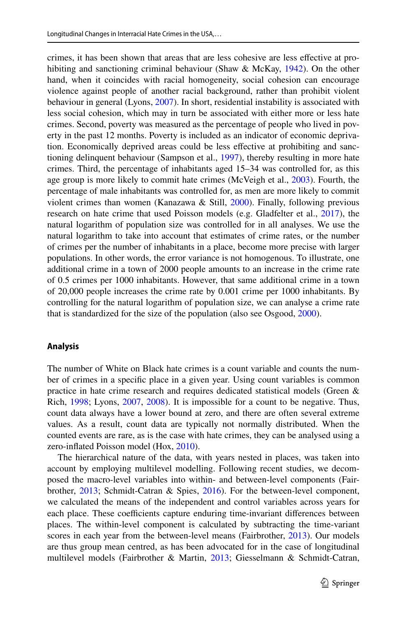crimes, it has been shown that areas that are less cohesive are less efective at prohibiting and sanctioning criminal behaviour (Shaw & McKay, [1942](#page-18-19)). On the other hand, when it coincides with racial homogeneity, social cohesion can encourage violence against people of another racial background, rather than prohibit violent behaviour in general (Lyons, [2007\)](#page-17-8). In short, residential instability is associated with less social cohesion, which may in turn be associated with either more or less hate crimes. Second, poverty was measured as the percentage of people who lived in poverty in the past 12 months. Poverty is included as an indicator of economic deprivation. Economically deprived areas could be less efective at prohibiting and sanctioning delinquent behaviour (Sampson et al., [1997](#page-18-18)), thereby resulting in more hate crimes. Third, the percentage of inhabitants aged 15–34 was controlled for, as this age group is more likely to commit hate crimes (McVeigh et al., [2003\)](#page-17-13). Fourth, the percentage of male inhabitants was controlled for, as men are more likely to commit violent crimes than women (Kanazawa & Still, [2000\)](#page-17-21). Finally, following previous research on hate crime that used Poisson models (e.g. Gladfelter et al., [2017\)](#page-17-5), the natural logarithm of population size was controlled for in all analyses. We use the natural logarithm to take into account that estimates of crime rates, or the number of crimes per the number of inhabitants in a place, become more precise with larger populations. In other words, the error variance is not homogenous. To illustrate, one additional crime in a town of 2000 people amounts to an increase in the crime rate of 0.5 crimes per 1000 inhabitants. However, that same additional crime in a town of 20,000 people increases the crime rate by 0.001 crime per 1000 inhabitants. By controlling for the natural logarithm of population size, we can analyse a crime rate that is standardized for the size of the population (also see Osgood, [2000\)](#page-18-20).

### **Analysis**

The number of White on Black hate crimes is a count variable and counts the number of crimes in a specifc place in a given year. Using count variables is common practice in hate crime research and requires dedicated statistical models (Green & Rich, [1998;](#page-17-2) Lyons, [2007](#page-17-8), [2008](#page-17-9)). It is impossible for a count to be negative. Thus, count data always have a lower bound at zero, and there are often several extreme values. As a result, count data are typically not normally distributed. When the counted events are rare, as is the case with hate crimes, they can be analysed using a zero-infated Poisson model (Hox, [2010](#page-17-22)).

The hierarchical nature of the data, with years nested in places, was taken into account by employing multilevel modelling. Following recent studies, we decomposed the macro-level variables into within- and between-level components (Fairbrother, [2013;](#page-16-4) Schmidt-Catran & Spies, [2016\)](#page-18-21). For the between-level component, we calculated the means of the independent and control variables across years for each place. These coefficients capture enduring time-invariant differences between places. The within-level component is calculated by subtracting the time-variant scores in each year from the between-level means (Fairbrother, [2013\)](#page-16-4). Our models are thus group mean centred, as has been advocated for in the case of longitudinal multilevel models (Fairbrother & Martin, [2013;](#page-16-15) Giesselmann & Schmidt-Catran,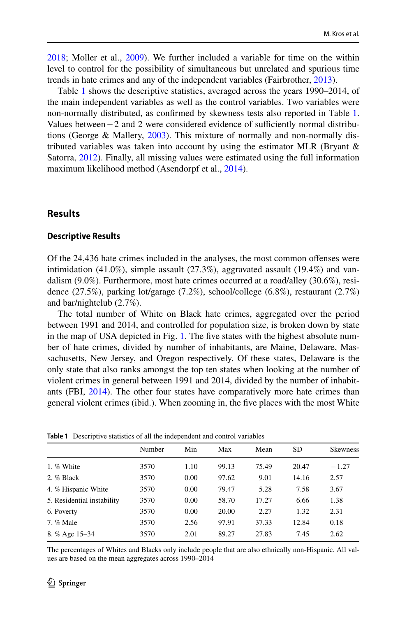[2018](#page-16-5); Moller et al., [2009\)](#page-17-23). We further included a variable for time on the within level to control for the possibility of simultaneous but unrelated and spurious time trends in hate crimes and any of the independent variables (Fairbrother, [2013\)](#page-16-4).

Table [1](#page-9-0) shows the descriptive statistics, averaged across the years 1990–2014, of the main independent variables as well as the control variables. Two variables were non-normally distributed, as confrmed by skewness tests also reported in Table [1.](#page-9-0) Values between $-2$  and 2 were considered evidence of sufficiently normal distributions (George & Mallery, [2003](#page-16-16)). This mixture of normally and non-normally distributed variables was taken into account by using the estimator MLR (Bryant  $\&$ Satorra, [2012](#page-16-17)). Finally, all missing values were estimated using the full information maximum likelihood method (Asendorpf et al., [2014](#page-16-18)).

## **Results**

#### **Descriptive Results**

Of the 24,436 hate crimes included in the analyses, the most common ofenses were intimidation  $(41.0\%)$ , simple assault  $(27.3\%)$ , aggravated assault  $(19.4\%)$  and vandalism (9.0%). Furthermore, most hate crimes occurred at a road/alley (30.6%), residence (27.5%), parking lot/garage (7.2%), school/college (6.8%), restaurant (2.7%) and bar/nightclub (2.7%).

The total number of White on Black hate crimes, aggregated over the period between 1991 and 2014, and controlled for population size, is broken down by state in the map of USA depicted in Fig. [1](#page-10-0). The fve states with the highest absolute number of hate crimes, divided by number of inhabitants, are Maine, Delaware, Massachusetts, New Jersey, and Oregon respectively. Of these states, Delaware is the only state that also ranks amongst the top ten states when looking at the number of violent crimes in general between 1991 and 2014, divided by the number of inhabitants (FBI, [2014\)](#page-16-0). The other four states have comparatively more hate crimes than general violent crimes (ibid.). When zooming in, the fve places with the most White

|                            | Number | Min  | Max   | Mean  | <b>SD</b> | <b>Skewness</b> |  |  |
|----------------------------|--------|------|-------|-------|-----------|-----------------|--|--|
| 1. % White                 | 3570   | 1.10 | 99.13 | 75.49 | 20.47     | $-1.27$         |  |  |
| 2. % Black                 | 3570   | 0.00 | 97.62 | 9.01  | 14.16     | 2.57            |  |  |
| 4. % Hispanic White        | 3570   | 0.00 | 79.47 | 5.28  | 7.58      | 3.67            |  |  |
| 5. Residential instability | 3570   | 0.00 | 58.70 | 17.27 | 6.66      | 1.38            |  |  |
| 6. Poverty                 | 3570   | 0.00 | 20.00 | 2.27  | 1.32      | 2.31            |  |  |
| 7. % Male                  | 3570   | 2.56 | 97.91 | 37.33 | 12.84     | 0.18            |  |  |
| 8. % Age 15–34             | 3570   | 2.01 | 89.27 | 27.83 | 7.45      | 2.62            |  |  |
|                            |        |      |       |       |           |                 |  |  |

<span id="page-9-0"></span>**Table 1** Descriptive statistics of all the independent and control variables

The percentages of Whites and Blacks only include people that are also ethnically non-Hispanic. All values are based on the mean aggregates across 1990–2014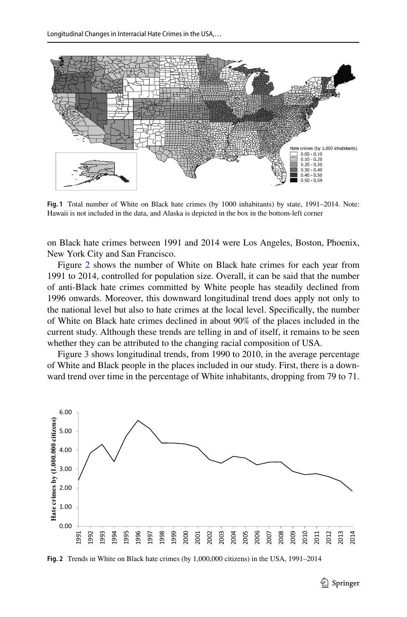

<span id="page-10-0"></span>**Fig. 1** Total number of White on Black hate crimes (by 1000 inhabitants) by state, 1991–2014. Note: Hawaii is not included in the data, and Alaska is depicted in the box in the bottom-left corner

on Black hate crimes between 1991 and 2014 were Los Angeles, Boston, Phoenix, New York City and San Francisco.

Figure [2](#page-10-1) shows the number of White on Black hate crimes for each year from 1991 to 2014, controlled for population size. Overall, it can be said that the number of anti-Black hate crimes committed by White people has steadily declined from 1996 onwards. Moreover, this downward longitudinal trend does apply not only to the national level but also to hate crimes at the local level. Specifcally, the number of White on Black hate crimes declined in about 90% of the places included in the current study. Although these trends are telling in and of itself, it remains to be seen whether they can be attributed to the changing racial composition of USA.

Figure [3](#page-11-0) shows longitudinal trends, from 1990 to 2010, in the average percentage of White and Black people in the places included in our study. First, there is a downward trend over time in the percentage of White inhabitants, dropping from 79 to 71.



<span id="page-10-1"></span>**Fig. 2** Trends in White on Black hate crimes (by 1,000,000 citizens) in the USA, 1991–2014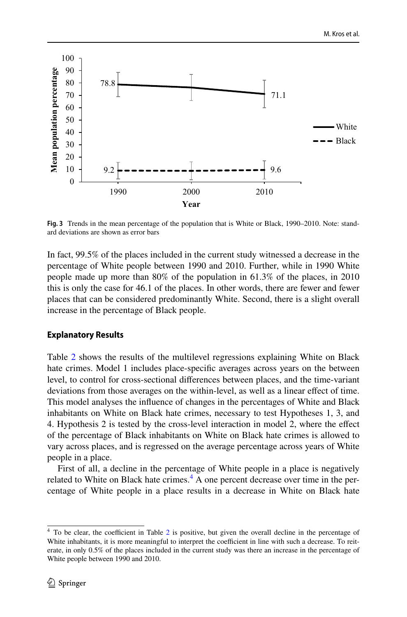

<span id="page-11-0"></span>**Fig. 3** Trends in the mean percentage of the population that is White or Black, 1990–2010. Note: standard deviations are shown as error bars

In fact, 99.5% of the places included in the current study witnessed a decrease in the percentage of White people between 1990 and 2010. Further, while in 1990 White people made up more than 80% of the population in 61.3% of the places, in 2010 this is only the case for 46.1 of the places. In other words, there are fewer and fewer places that can be considered predominantly White. Second, there is a slight overall increase in the percentage of Black people.

## **Explanatory Results**

Table [2](#page-12-0) shows the results of the multilevel regressions explaining White on Black hate crimes. Model 1 includes place-specifc averages across years on the between level, to control for cross-sectional diferences between places, and the time-variant deviations from those averages on the within-level, as well as a linear efect of time. This model analyses the infuence of changes in the percentages of White and Black inhabitants on White on Black hate crimes, necessary to test Hypotheses 1, 3, and 4. Hypothesis 2 is tested by the cross-level interaction in model 2, where the efect of the percentage of Black inhabitants on White on Black hate crimes is allowed to vary across places, and is regressed on the average percentage across years of White people in a place.

First of all, a decline in the percentage of White people in a place is negatively related to White on Black hate crimes.<sup>[4](#page-11-1)</sup> A one percent decrease over time in the percentage of White people in a place results in a decrease in White on Black hate

<span id="page-11-1"></span> $4$  To be clear, the coefficient in Table [2](#page-12-0) is positive, but given the overall decline in the percentage of White inhabitants, it is more meaningful to interpret the coefficient in line with such a decrease. To reiterate, in only 0.5% of the places included in the current study was there an increase in the percentage of White people between 1990 and 2010.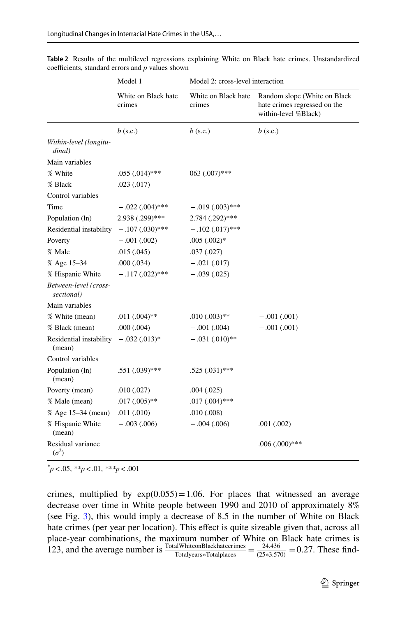|                                     | Model 1                       | Model 2: cross-level interaction |                                                                                      |  |  |
|-------------------------------------|-------------------------------|----------------------------------|--------------------------------------------------------------------------------------|--|--|
|                                     | White on Black hate<br>crimes | White on Black hate<br>crimes    | Random slope (White on Black<br>hate crimes regressed on the<br>within-level %Black) |  |  |
|                                     | $b$ (s.e.)                    | $b$ (s.e.)                       | $b$ (s.e.)                                                                           |  |  |
| Within-level (longitu-<br>dinal)    |                               |                                  |                                                                                      |  |  |
| Main variables                      |                               |                                  |                                                                                      |  |  |
| % White                             | $.055(.014)$ ***              | 063 (.007)***                    |                                                                                      |  |  |
| % Black                             | .023(.017)                    |                                  |                                                                                      |  |  |
| Control variables                   |                               |                                  |                                                                                      |  |  |
| Time                                | $-.022(.004)$ ***             | $-.019(.003)$ ***                |                                                                                      |  |  |
| Population (ln)                     | 2.938 (.299)***               | 2.784 (.292)***                  |                                                                                      |  |  |
| Residential instability             | $-.107(.030)$ ***             | $-.102(.017)$ ***                |                                                                                      |  |  |
| Poverty                             | $-.001(.002)$                 | $.005(.002)*$                    |                                                                                      |  |  |
| % Male                              | .015(.045)                    | .037(.027)                       |                                                                                      |  |  |
| % Age 15-34                         | .000(.034)                    | $-.021(.017)$                    |                                                                                      |  |  |
| % Hispanic White                    | $-.117(.022)$ ***             | $-.039(.025)$                    |                                                                                      |  |  |
| Between-level (cross-<br>sectional) |                               |                                  |                                                                                      |  |  |
| Main variables                      |                               |                                  |                                                                                      |  |  |
| % White (mean)                      | $.011(.004)$ **               | $.010(.003)$ **                  | $-.001(.001)$                                                                        |  |  |
| % Black (mean)                      | .000(.004)                    | $-.001(.004)$                    | $-.001(.001)$                                                                        |  |  |
| Residential instability<br>(mean)   | $-.032(.013)*$                | $-.031(.010)**$                  |                                                                                      |  |  |
| Control variables                   |                               |                                  |                                                                                      |  |  |
| Population (ln)<br>(mean)           | $.551(.039)$ ***              | $.525(.031)$ ***                 |                                                                                      |  |  |
| Poverty (mean)                      | .010(.027)                    | .004(.025)                       |                                                                                      |  |  |
| % Male (mean)                       | $.017(.005)$ **               | $.017(.004)$ ***                 |                                                                                      |  |  |
| % Age 15–34 (mean)                  | .011(.010)                    | .010(.008)                       |                                                                                      |  |  |
| % Hispanic White<br>(mean)          | $-.003(.006)$                 | $-.004(.006)$                    | .001(.002)                                                                           |  |  |
| Residual variance<br>$(\sigma^2)$   |                               |                                  | $.006(.000)$ ***                                                                     |  |  |

<span id="page-12-0"></span>**Table 2** Results of the multilevel regressions explaining White on Black hate crimes. Unstandardized coefficients, standard errors and  $p$  values shown

*\* p*<.05, *\*\*p*<.01, *\*\*\*p*<.001

crimes, multiplied by  $exp(0.055) = 1.06$ . For places that witnessed an average decrease over time in White people between 1990 and 2010 of approximately 8% (see Fig. [3\)](#page-11-0), this would imply a decrease of 8.5 in the number of White on Black hate crimes (per year per location). This effect is quite sizeable given that, across all place-year combinations, the maximum number of White on Black hate crimes is 123, and the average number is  $\frac{\text{TotalWhiteonBlackhaterimes}}{\text{Totalyears*Totalplaces}} = \frac{24.436}{(25*3.570)} = 0.27$ . These find-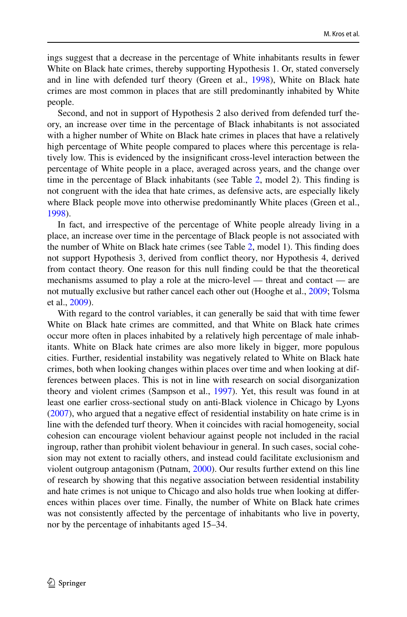ings suggest that a decrease in the percentage of White inhabitants results in fewer White on Black hate crimes, thereby supporting Hypothesis 1. Or, stated conversely and in line with defended turf theory (Green et al., [1998\)](#page-17-6), White on Black hate crimes are most common in places that are still predominantly inhabited by White people.

Second, and not in support of Hypothesis 2 also derived from defended turf theory, an increase over time in the percentage of Black inhabitants is not associated with a higher number of White on Black hate crimes in places that have a relatively high percentage of White people compared to places where this percentage is relatively low. This is evidenced by the insignifcant cross-level interaction between the percentage of White people in a place, averaged across years, and the change over time in the percentage of Black inhabitants (see Table [2,](#page-12-0) model 2). This fnding is not congruent with the idea that hate crimes, as defensive acts, are especially likely where Black people move into otherwise predominantly White places (Green et al., [1998](#page-17-6)).

In fact, and irrespective of the percentage of White people already living in a place, an increase over time in the percentage of Black people is not associated with the number of White on Black hate crimes (see Table [2,](#page-12-0) model 1). This fnding does not support Hypothesis 3, derived from confict theory, nor Hypothesis 4, derived from contact theory. One reason for this null fnding could be that the theoretical mechanisms assumed to play a role at the micro-level — threat and contact — are not mutually exclusive but rather cancel each other out (Hooghe et al., [2009](#page-17-24); Tolsma et al., [2009](#page-18-22)).

With regard to the control variables, it can generally be said that with time fewer White on Black hate crimes are committed, and that White on Black hate crimes occur more often in places inhabited by a relatively high percentage of male inhabitants. White on Black hate crimes are also more likely in bigger, more populous cities. Further, residential instability was negatively related to White on Black hate crimes, both when looking changes within places over time and when looking at differences between places. This is not in line with research on social disorganization theory and violent crimes (Sampson et al., [1997\)](#page-18-18). Yet, this result was found in at least one earlier cross-sectional study on anti-Black violence in Chicago by Lyons [\(2007](#page-17-8)), who argued that a negative efect of residential instability on hate crime is in line with the defended turf theory. When it coincides with racial homogeneity, social cohesion can encourage violent behaviour against people not included in the racial ingroup, rather than prohibit violent behaviour in general. In such cases, social cohesion may not extent to racially others, and instead could facilitate exclusionism and violent outgroup antagonism (Putnam, [2000](#page-18-0)). Our results further extend on this line of research by showing that this negative association between residential instability and hate crimes is not unique to Chicago and also holds true when looking at diferences within places over time. Finally, the number of White on Black hate crimes was not consistently afected by the percentage of inhabitants who live in poverty, nor by the percentage of inhabitants aged 15–34.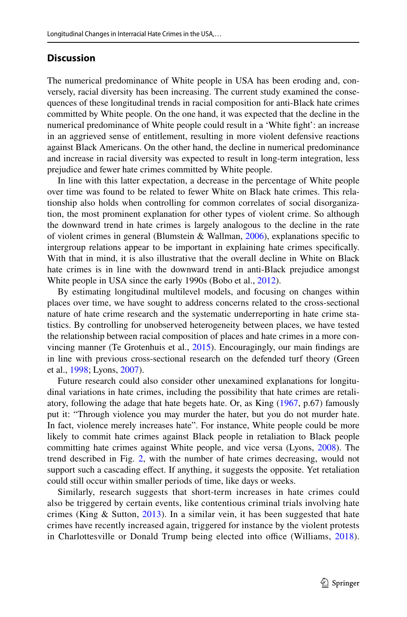# **Discussion**

The numerical predominance of White people in USA has been eroding and, conversely, racial diversity has been increasing. The current study examined the consequences of these longitudinal trends in racial composition for anti-Black hate crimes committed by White people. On the one hand, it was expected that the decline in the numerical predominance of White people could result in a 'White fght': an increase in an aggrieved sense of entitlement, resulting in more violent defensive reactions against Black Americans. On the other hand, the decline in numerical predominance and increase in racial diversity was expected to result in long-term integration, less prejudice and fewer hate crimes committed by White people.

In line with this latter expectation, a decrease in the percentage of White people over time was found to be related to fewer White on Black hate crimes. This relationship also holds when controlling for common correlates of social disorganization, the most prominent explanation for other types of violent crime. So although the downward trend in hate crimes is largely analogous to the decline in the rate of violent crimes in general (Blumstein & Wallman, [2006](#page-16-19)), explanations specifc to intergroup relations appear to be important in explaining hate crimes specifcally. With that in mind, it is also illustrative that the overall decline in White on Black hate crimes is in line with the downward trend in anti-Black prejudice amongst White people in USA since the early 1990s (Bobo et al., [2012\)](#page-16-9).

By estimating longitudinal multilevel models, and focusing on changes within places over time, we have sought to address concerns related to the cross-sectional nature of hate crime research and the systematic underreporting in hate crime statistics. By controlling for unobserved heterogeneity between places, we have tested the relationship between racial composition of places and hate crimes in a more convincing manner (Te Grotenhuis et al., [2015\)](#page-18-4). Encouragingly, our main fndings are in line with previous cross-sectional research on the defended turf theory (Green et al., [1998](#page-17-6); Lyons, [2007](#page-17-8)).

Future research could also consider other unexamined explanations for longitudinal variations in hate crimes, including the possibility that hate crimes are retaliatory, following the adage that hate begets hate. Or, as King [\(1967](#page-17-25), p.67) famously put it: "Through violence you may murder the hater, but you do not murder hate. In fact, violence merely increases hate". For instance, White people could be more likely to commit hate crimes against Black people in retaliation to Black people committing hate crimes against White people, and vice versa (Lyons, [2008](#page-17-9)). The trend described in Fig. [2,](#page-10-1) with the number of hate crimes decreasing, would not support such a cascading effect. If anything, it suggests the opposite. Yet retaliation could still occur within smaller periods of time, like days or weeks.

Similarly, research suggests that short-term increases in hate crimes could also be triggered by certain events, like contentious criminal trials involving hate crimes (King & Sutton,  $2013$ ). In a similar vein, it has been suggested that hate crimes have recently increased again, triggered for instance by the violent protests in Charlottesville or Donald Trump being elected into office (Williams, [2018](#page-19-1)).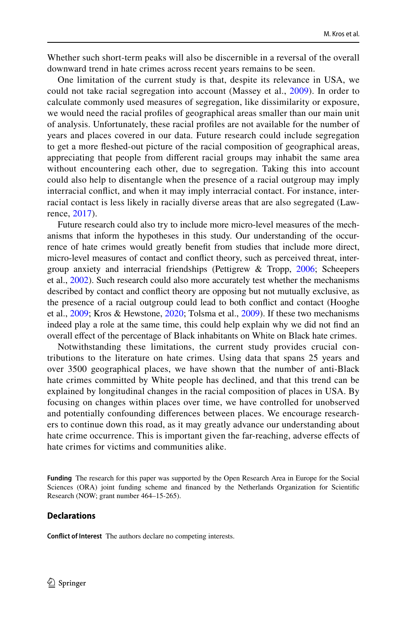Whether such short-term peaks will also be discernible in a reversal of the overall downward trend in hate crimes across recent years remains to be seen.

One limitation of the current study is that, despite its relevance in USA, we could not take racial segregation into account (Massey et al., [2009](#page-17-10)). In order to calculate commonly used measures of segregation, like dissimilarity or exposure, we would need the racial profles of geographical areas smaller than our main unit of analysis. Unfortunately, these racial profles are not available for the number of years and places covered in our data. Future research could include segregation to get a more feshed-out picture of the racial composition of geographical areas, appreciating that people from diferent racial groups may inhabit the same area without encountering each other, due to segregation. Taking this into account could also help to disentangle when the presence of a racial outgroup may imply interracial confict, and when it may imply interracial contact. For instance, interracial contact is less likely in racially diverse areas that are also segregated (Lawrence, [2017](#page-17-27)).

Future research could also try to include more micro-level measures of the mechanisms that inform the hypotheses in this study. Our understanding of the occurrence of hate crimes would greatly beneft from studies that include more direct, micro-level measures of contact and confict theory, such as perceived threat, intergroup anxiety and interracial friendships (Pettigrew & Tropp, [2006](#page-18-23); Scheepers et al., [2002\)](#page-18-24). Such research could also more accurately test whether the mechanisms described by contact and confict theory are opposing but not mutually exclusive, as the presence of a racial outgroup could lead to both confict and contact (Hooghe et al., [2009;](#page-17-24) Kros & Hewstone, [2020](#page-17-19); Tolsma et al., [2009\)](#page-18-22). If these two mechanisms indeed play a role at the same time, this could help explain why we did not fnd an overall efect of the percentage of Black inhabitants on White on Black hate crimes.

Notwithstanding these limitations, the current study provides crucial contributions to the literature on hate crimes. Using data that spans 25 years and over 3500 geographical places, we have shown that the number of anti-Black hate crimes committed by White people has declined, and that this trend can be explained by longitudinal changes in the racial composition of places in USA. By focusing on changes within places over time, we have controlled for unobserved and potentially confounding diferences between places. We encourage researchers to continue down this road, as it may greatly advance our understanding about hate crime occurrence. This is important given the far-reaching, adverse efects of hate crimes for victims and communities alike.

**Funding** The research for this paper was supported by the Open Research Area in Europe for the Social Sciences (ORA) joint funding scheme and fnanced by the Netherlands Organization for Scientifc Research (NOW; grant number 464–15-265).

### **Declarations**

**Confict of Interest** The authors declare no competing interests.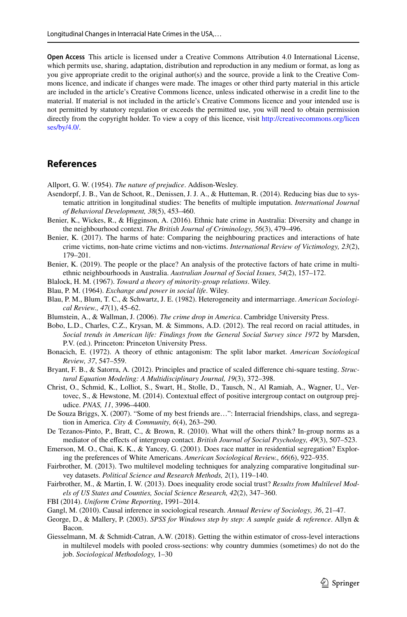**Open Access** This article is licensed under a Creative Commons Attribution 4.0 International License, which permits use, sharing, adaptation, distribution and reproduction in any medium or format, as long as you give appropriate credit to the original author(s) and the source, provide a link to the Creative Commons licence, and indicate if changes were made. The images or other third party material in this article are included in the article's Creative Commons licence, unless indicated otherwise in a credit line to the material. If material is not included in the article's Creative Commons licence and your intended use is not permitted by statutory regulation or exceeds the permitted use, you will need to obtain permission directly from the copyright holder. To view a copy of this licence, visit [http://creativecommons.org/licen](http://creativecommons.org/licenses/by/4.0/) [ses/by/4.0/](http://creativecommons.org/licenses/by/4.0/).

# **References**

<span id="page-16-10"></span>Allport, G. W. (1954). *The nature of prejudice*. Addison-Wesley.

- <span id="page-16-18"></span>Asendorpf, J. B., Van de Schoot, R., Denissen, J. J. A., & Hutteman, R. (2014). Reducing bias due to systematic attrition in longitudinal studies: The benefts of multiple imputation. *International Journal of Behavioral Development, 38*(5), 453–460.
- <span id="page-16-3"></span>Benier, K., Wickes, R., & Higginson, A. (2016). Ethnic hate crime in Australia: Diversity and change in the neighbourhood context. *The British Journal of Criminology, 56*(3), 479–496.
- <span id="page-16-1"></span>Benier, K. (2017). The harms of hate: Comparing the neighbouring practices and interactions of hate crime victims, non-hate crime victims and non-victims. *International Review of Victimology, 23*(2), 179–201.
- <span id="page-16-2"></span>Benier, K. (2019). The people or the place? An analysis of the protective factors of hate crime in multiethnic neighbourhoods in Australia. *Australian Journal of Social Issues, 54*(2), 157–172.
- <span id="page-16-7"></span>Blalock, H. M. (1967). *Toward a theory of minority-group relations*. Wiley.
- Blau, P. M. (1964). *Exchange and power in social life*. Wiley.
- <span id="page-16-11"></span>Blau, P. M., Blum, T. C., & Schwartz, J. E. (1982). Heterogeneity and intermarriage. *American Sociological Review., 47*(1), 45–62.
- <span id="page-16-19"></span>Blumstein, A., & Wallman, J. (2006). *The crime drop in America*. Cambridge University Press.
- <span id="page-16-9"></span>Bobo, L.D., Charles, C.Z., Krysan, M. & Simmons, A.D. (2012). The real record on racial attitudes, in *Social trends in American life: Findings from the General Social Survey since 1972* by Marsden, P.V. (ed.). Princeton: Princeton University Press.
- <span id="page-16-8"></span>Bonacich, E. (1972). A theory of ethnic antagonism: The split labor market. *American Sociological Review, 37*, 547–559.
- <span id="page-16-17"></span>Bryant, F. B., & Satorra, A. (2012). Principles and practice of scaled diference chi-square testing. *Structural Equation Modeling: A Multidisciplinary Journal, 19*(3), 372–398.
- <span id="page-16-14"></span>Christ, O., Schmid, K., Lolliot, S., Swart, H., Stolle, D., Tausch, N., Al Ramiah, A., Wagner, U., Vertovec, S., & Hewstone, M. (2014). Contextual effect of positive intergroup contact on outgroup prejudice. *PNAS, 11*, 3996–4400.
- <span id="page-16-12"></span>De Souza Briggs, X. (2007). "Some of my best friends are…": Interracial friendships, class, and segregation in America. *City & Community, 6*(4), 263–290.
- <span id="page-16-13"></span>De Tezanos-Pinto, P., Bratt, C., & Brown, R. (2010). What will the others think? In-group norms as a mediator of the efects of intergroup contact. *British Journal of Social Psychology, 49*(3), 507–523.
- Emerson, M. O., Chai, K. K., & Yancey, G. (2001). Does race matter in residential segregation? Exploring the preferences of White Americans. *American Sociological Review., 66*(6), 922–935.
- <span id="page-16-4"></span>Fairbrother, M. (2013). Two multilevel modeling techniques for analyzing comparative longitudinal survey datasets. *Political Science and Research Methods, 2*(1), 119–140.
- <span id="page-16-15"></span>Fairbrother, M., & Martin, I. W. (2013). Does inequality erode social trust? *Results from Multilevel Models of US States and Counties, Social Science Research, 42*(2), 347–360.
- <span id="page-16-0"></span>FBI (2014). *Uniform Crime Reporting*, 1991–2014.
- <span id="page-16-6"></span>Gangl, M. (2010). Causal inference in sociological research. *Annual Review of Sociology, 36*, 21–47.
- <span id="page-16-16"></span>George, D., & Mallery, P. (2003). *SPSS for Windows step by step: A sample guide & reference*. Allyn & Bacon.
- <span id="page-16-5"></span>Giesselmann, M. & Schmidt-Catran, A.W. (2018). Getting the within estimator of cross-level interactions in multilevel models with pooled cross-sections: why country dummies (sometimes) do not do the job. *Sociological Methodology,* 1–30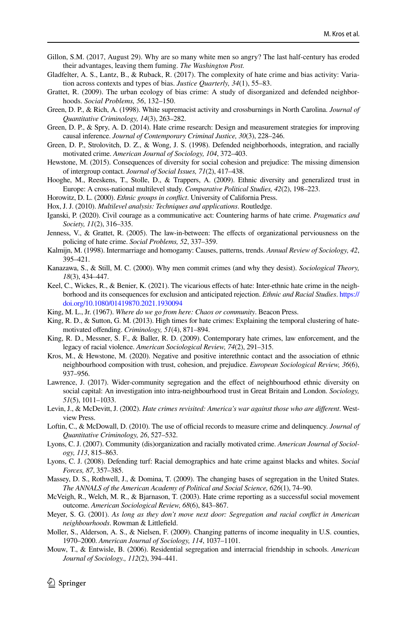- <span id="page-17-15"></span>Gillon, S.M. (2017, August 29). Why are so many white men so angry? The last half-century has eroded their advantages, leaving them fuming. *The Washington Post.*
- <span id="page-17-5"></span>Gladfelter, A. S., Lantz, B., & Ruback, R. (2017). The complexity of hate crime and bias activity: Variation across contexts and types of bias. *Justice Quarterly, 34*(1), 55–83.
- <span id="page-17-7"></span>Grattet, R. (2009). The urban ecology of bias crime: A study of disorganized and defended neighborhoods. *Social Problems, 56*, 132–150.
- <span id="page-17-2"></span>Green, D. P., & Rich, A. (1998). White supremacist activity and crossburnings in North Carolina. *Journal of Quantitative Criminology, 14*(3), 263–282.
- <span id="page-17-0"></span>Green, D. P., & Spry, A. D. (2014). Hate crime research: Design and measurement strategies for improving causal inference. *Journal of Contemporary Criminal Justice, 30*(3), 228–246.
- <span id="page-17-6"></span>Green, D. P., Strolovitch, D. Z., & Wong, J. S. (1998). Defended neighborhoods, integration, and racially motivated crime. *American Journal of Sociology, 104*, 372–403.
- Hewstone, M. (2015). Consequences of diversity for social cohesion and prejudice: The missing dimension of intergroup contact. *Journal of Social Issues, 71*(2), 417–438.
- <span id="page-17-24"></span>Hooghe, M., Reeskens, T., Stolle, D., & Trappers, A. (2009). Ethnic diversity and generalized trust in Europe: A cross-national multilevel study. *Comparative Political Studies, 42*(2), 198–223.
- <span id="page-17-16"></span>Horowitz, D. L. (2000). *Ethnic groups in confict*. University of California Press.
- <span id="page-17-22"></span>Hox, J. J. (2010). *Multilevel analysis: Techniques and applications*. Routledge.
- <span id="page-17-4"></span>Iganski, P. (2020). Civil courage as a communicative act: Countering harms of hate crime. *Pragmatics and Society, 11*(2), 316–335.
- <span id="page-17-20"></span>Jenness, V., & Grattet, R. (2005). The law-in-between: The efects of organizational perviousness on the policing of hate crime. *Social Problems, 52*, 337–359.
- <span id="page-17-17"></span>Kalmijn, M. (1998). Intermarriage and homogamy: Causes, patterns, trends. *Annual Review of Sociology, 42*, 395–421.
- <span id="page-17-21"></span>Kanazawa, S., & Still, M. C. (2000). Why men commit crimes (and why they desist). *Sociological Theory, 18*(3), 434–447.
- <span id="page-17-3"></span>Keel, C., Wickes, R., & Benier, K. (2021). The vicarious efects of hate: Inter-ethnic hate crime in the neighborhood and its consequences for exclusion and anticipated rejection. *Ethnic and Racial Studies*. [https://](https://doi.org/10.1080/01419870.2021.1930094) [doi.org/10.1080/01419870.2021.1930094](https://doi.org/10.1080/01419870.2021.1930094)
- <span id="page-17-25"></span>King, M. L., Jr. (1967). *Where do we go from here: Chaos or community*. Beacon Press.
- <span id="page-17-26"></span>King, R. D., & Sutton, G. M. (2013). High times for hate crimes: Explaining the temporal clustering of hatemotivated ofending. *Criminology, 51*(4), 871–894.
- <span id="page-17-12"></span>King, R. D., Messner, S. F., & Baller, R. D. (2009). Contemporary hate crimes, law enforcement, and the legacy of racial violence. *American Sociological Review, 74*(2), 291–315.
- <span id="page-17-19"></span>Kros, M., & Hewstone, M. (2020). Negative and positive interethnic contact and the association of ethnic neighbourhood composition with trust, cohesion, and prejudice. *European Sociological Review, 36*(6), 937–956.
- <span id="page-17-27"></span>Lawrence, J. (2017). Wider-community segregation and the effect of neighbourhood ethnic diversity on social capital: An investigation into intra-neighbourhood trust in Great Britain and London. *Sociology, 51*(5), 1011–1033.
- <span id="page-17-1"></span>Levin, J., & McDevitt, J. (2002). *Hate crimes revisited: America's war against those who are diferent*. Westview Press.
- <span id="page-17-11"></span>Loftin, C., & McDowall, D. (2010). The use of official records to measure crime and delinquency. *Journal of Quantitative Criminology, 26*, 527–532.
- <span id="page-17-8"></span>Lyons, C. J. (2007). Community (dis)organization and racially motivated crime. *American Journal of Sociology, 113*, 815–863.
- <span id="page-17-9"></span>Lyons, C. J. (2008). Defending turf: Racial demographics and hate crime against blacks and whites. *Social Forces, 87*, 357–385.
- <span id="page-17-10"></span>Massey, D. S., Rothwell, J., & Domina, T. (2009). The changing bases of segregation in the United States. *The ANNALS of the American Academy of Political and Social Science, 626*(1), 74–90.
- <span id="page-17-13"></span>McVeigh, R., Welch, M. R., & Bjarnason, T. (2003). Hate crime reporting as a successful social movement outcome. *American Sociological Review, 68*(6), 843–867.
- <span id="page-17-14"></span>Meyer, S. G. (2001). *As long as they don't move next door: Segregation and racial confict in American neighbourhoods*. Rowman & Littlefeld.
- <span id="page-17-23"></span>Moller, S., Alderson, A. S., & Nielsen, F. (2009). Changing patterns of income inequality in U.S. counties, 1970–2000. *American Journal of Sociology, 114*, 1037–1101.
- <span id="page-17-18"></span>Mouw, T., & Entwisle, B. (2006). Residential segregation and interracial friendship in schools. *American Journal of Sociology., 112*(2), 394–441.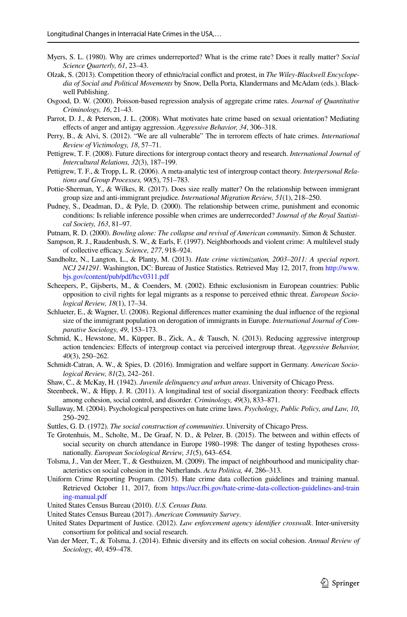- <span id="page-18-15"></span>Myers, S. L. (1980). Why are crimes underreported? What is the crime rate? Does it really matter? *Social Science Quarterly, 61*, 23–43.
- <span id="page-18-7"></span>Olzak, S. (2013). Competition theory of ethnic/racial confict and protest, in *The Wiley-Blackwell Encyclopedia of Social and Political Movements* by Snow, Della Porta, Klandermans and McAdam (eds.). Blackwell Publishing.
- <span id="page-18-20"></span>Osgood, D. W. (2000). Poisson-based regression analysis of aggregate crime rates. *Journal of Quantitative Criminology, 16*, 21–43.
- <span id="page-18-10"></span>Parrot, D. J., & Peterson, J. L. (2008). What motivates hate crime based on sexual orientation? Mediating efects of anger and antigay aggression. *Aggressive Behavior, 34*, 306–318.
- <span id="page-18-2"></span>Perry, B., & Alvi, S. (2012). "We are all vulnerable" The in terrorem efects of hate crimes. *International Review of Victimology, 18*, 57–71.
- <span id="page-18-9"></span>Pettigrew, T. F. (2008). Future directions for intergroup contact theory and research. *International Journal of Intercultural Relations, 32*(3), 187–199.
- <span id="page-18-23"></span>Pettigrew, T. F., & Tropp, L. R. (2006). A meta-analytic test of intergroup contact theory. *Interpersonal Relations and Group Processes, 90*(5), 751–783.
- <span id="page-18-1"></span>Pottie-Sherman, Y., & Wilkes, R. (2017). Does size really matter? On the relationship between immigrant group size and anti-immigrant prejudice. *International Migration Review, 51*(1), 218–250.
- <span id="page-18-14"></span>Pudney, S., Deadman, D., & Pyle, D. (2000). The relationship between crime, punishment and economic conditions: Is reliable inference possible when crimes are underrecorded? *Journal of the Royal Statistical Society, 163*, 81–97.
- <span id="page-18-0"></span>Putnam, R. D. (2000). *Bowling alone: The collapse and revival of American community*. Simon & Schuster.
- <span id="page-18-18"></span>Sampson, R. J., Raudenbush, S. W., & Earls, F. (1997). Neighborhoods and violent crime: A multilevel study of collective efficacy. *Science*, 277, 918–924.
- <span id="page-18-5"></span>Sandholtz, N., Langton, L., & Planty, M. (2013). *Hate crime victimization, 2003–2011: A special report. NCJ 241291*. Washington, DC: Bureau of Justice Statistics. Retrieved May 12, 2017, from [http://www.](http://www.bjs.gov/content/pub/pdf/hcv0311.pdf) [bjs.gov/content/pub/pdf/hcv0311.pdf](http://www.bjs.gov/content/pub/pdf/hcv0311.pdf)
- <span id="page-18-24"></span>Scheepers, P., Gijsberts, M., & Coenders, M. (2002). Ethnic exclusionism in European countries: Public opposition to civil rights for legal migrants as a response to perceived ethnic threat. *European Sociological Review, 18*(1), 17–34.
- <span id="page-18-8"></span>Schlueter, E., & Wagner, U. (2008). Regional diferences matter examining the dual infuence of the regional size of the immigrant population on derogation of immigrants in Europe. *International Journal of Comparative Sociology, 49*, 153–173.
- <span id="page-18-11"></span>Schmid, K., Hewstone, M., Küpper, B., Zick, A., & Tausch, N. (2013). Reducing aggressive intergroup action tendencies: Efects of intergroup contact via perceived intergroup threat. *Aggressive Behavior, 40*(3), 250–262.
- <span id="page-18-21"></span>Schmidt-Catran, A. W., & Spies, D. (2016). Immigration and welfare support in Germany. *American Sociological Review, 81*(2), 242–261.
- <span id="page-18-19"></span>Shaw, C., & McKay, H. (1942). *Juvenile delinquency and urban areas*. University of Chicago Press.
- Steenbeek, W., & Hipp, J. R. (2011). A longitudinal test of social disorganization theory: Feedback efects among cohesion, social control, and disorder. *Criminology, 49*(3), 833–871.
- <span id="page-18-13"></span>Sullaway, M. (2004). Psychological perspectives on hate crime laws. *Psychology, Public Policy, and Law, 10*, 250–292.
- <span id="page-18-6"></span>Suttles, G. D. (1972). *The social construction of communities*. University of Chicago Press.
- <span id="page-18-4"></span>Te Grotenhuis, M., Scholte, M., De Graaf, N. D., & Pelzer, B. (2015). The between and within efects of social security on church attendance in Europe 1980–1998: The danger of testing hypotheses crossnationally. *European Sociological Review, 31*(5), 643–654.
- <span id="page-18-22"></span>Tolsma, J., Van der Meer, T., & Gesthuizen, M. (2009). The impact of neighbourhood and municipality characteristics on social cohesion in the Netherlands. *Acta Politica, 44*, 286–313.
- <span id="page-18-12"></span>Uniform Crime Reporting Program. (2015). Hate crime data collection guidelines and training manual. Retrieved October 11, 2017, from [https://ucr.fbi.gov/hate-crime-data-collection-guidelines-and-train](https://ucr.fbi.gov/hate-crime-data-collection-guidelines-and-training-manual.pdf) [ing-manual.pdf](https://ucr.fbi.gov/hate-crime-data-collection-guidelines-and-training-manual.pdf)
- <span id="page-18-3"></span>United States Census Bureau (2010). *U.S. Census Data.*
- <span id="page-18-16"></span>United States Census Bureau (2017). *American Community Survey*.
- <span id="page-18-17"></span>United States Department of Justice. (2012). *Law enforcement agency identifer crosswalk*. Inter-university consortium for political and social research.
- Van der Meer, T., & Tolsma, J. (2014). Ethnic diversity and its efects on social cohesion. *Annual Review of Sociology, 40*, 459–478.